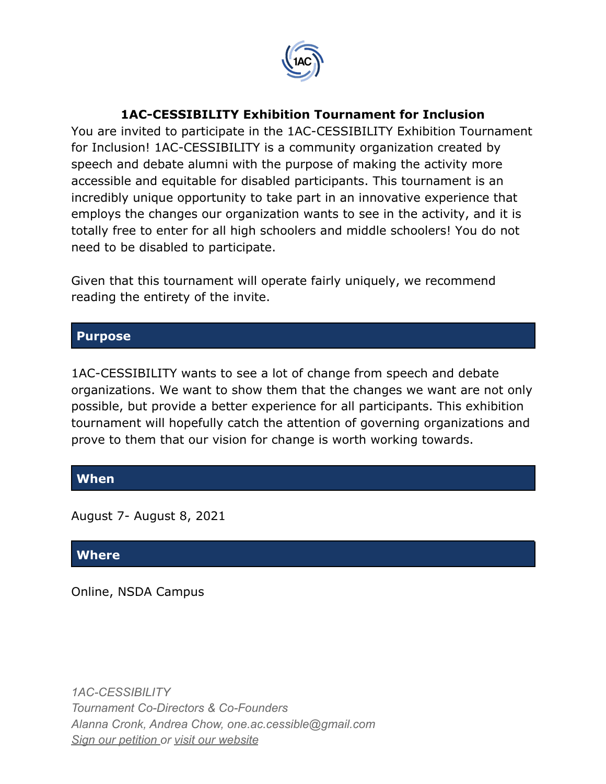

#### **1AC-CESSIBILITY Exhibition Tournament for Inclusion**

You are invited to participate in the 1AC-CESSIBILITY Exhibition Tournament for Inclusion! 1AC-CESSIBILITY is a community organization created by speech and debate alumni with the purpose of making the activity more accessible and equitable for disabled participants. This tournament is an incredibly unique opportunity to take part in an innovative experience that employs the changes our organization wants to see in the activity, and it is totally free to enter for all high schoolers and middle schoolers! You do not need to be disabled to participate.

Given that this tournament will operate fairly uniquely, we recommend reading the entirety of the invite.

#### **Purpose**

1AC-CESSIBILITY wants to see a lot of change from speech and debate organizations. We want to show them that the changes we want are not only possible, but provide a better experience for all participants. This exhibition tournament will hopefully catch the attention of governing organizations and prove to them that our vision for change is worth working towards.

#### **When**

August 7- August 8, 2021

#### **Where**

Online, NSDA Campus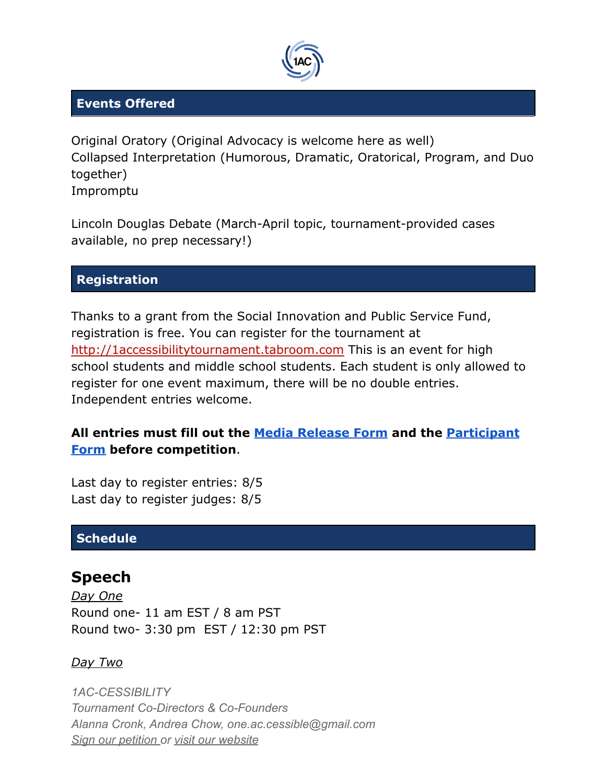

#### **Events Offered**

Original Oratory (Original Advocacy is welcome here as well) Collapsed Interpretation (Humorous, Dramatic, Oratorical, Program, and Duo together) Impromptu

Lincoln Douglas Debate (March-April topic, tournament-provided cases available, no prep necessary!)

### **Registration**

Thanks to a grant from the Social Innovation and Public Service Fund, registration is free. You can register for the tournament at [http://1accessibilitytournament.tabroom.com](http://1accessibilitytournament.tabroom.com/) This is an event for high school students and middle school students. Each student is only allowed to register for one event maximum, there will be no double entries. Independent entries welcome.

### **All entries must fill out the [Media Release Form](https://docs.google.com/document/d/1gVBTThRLrGZm53uxqeopIZg1wm089rGLa5jXaIbzfcY/edit?usp=sharing) and the [Participant](https://forms.gle/pwLWcRa99BKLci8a6) [Form](https://forms.gle/pwLWcRa99BKLci8a6) before competition**.

Last day to register entries: 8/5 Last day to register judges: 8/5

### **Schedule**

## **Speech**

*Day One* Round one- 11 am EST / 8 am PST Round two- 3:30 pm EST / 12:30 pm PST

#### *Day Two*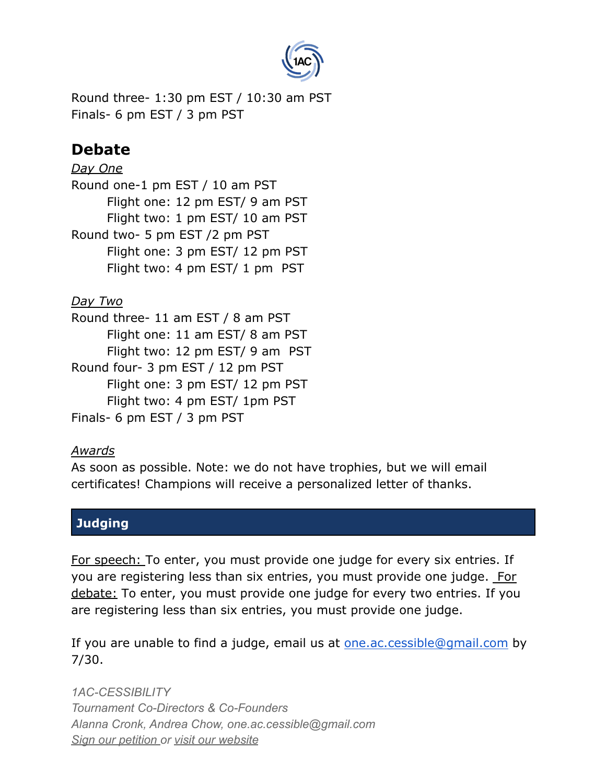

Round three- 1:30 pm EST / 10:30 am PST Finals- 6 pm EST / 3 pm PST

# **Debate**

*Day One* Round one-1 pm EST / 10 am PST Flight one: 12 pm EST/ 9 am PST Flight two: 1 pm EST/ 10 am PST Round two- 5 pm EST /2 pm PST Flight one: 3 pm EST/ 12 pm PST Flight two: 4 pm EST/ 1 pm PST

### *Day Two*

Round three- 11 am EST / 8 am PST Flight one: 11 am EST/ 8 am PST Flight two: 12 pm EST/ 9 am PST Round four- 3 pm EST / 12 pm PST Flight one: 3 pm EST/ 12 pm PST Flight two: 4 pm EST/ 1pm PST Finals- 6 pm EST / 3 pm PST

### *Awards*

As soon as possible. Note: we do not have trophies, but we will email certificates! Champions will receive a personalized letter of thanks.

### **Judging**

For speech: To enter, you must provide one judge for every six entries. If you are registering less than six entries, you must provide one judge. For debate: To enter, you must provide one judge for every two entries. If you are registering less than six entries, you must provide one judge.

If you are unable to find a judge, email us at [one.ac.cessible@gmail.com](mailto:one.ac.cessible@gmail.com) by 7/30.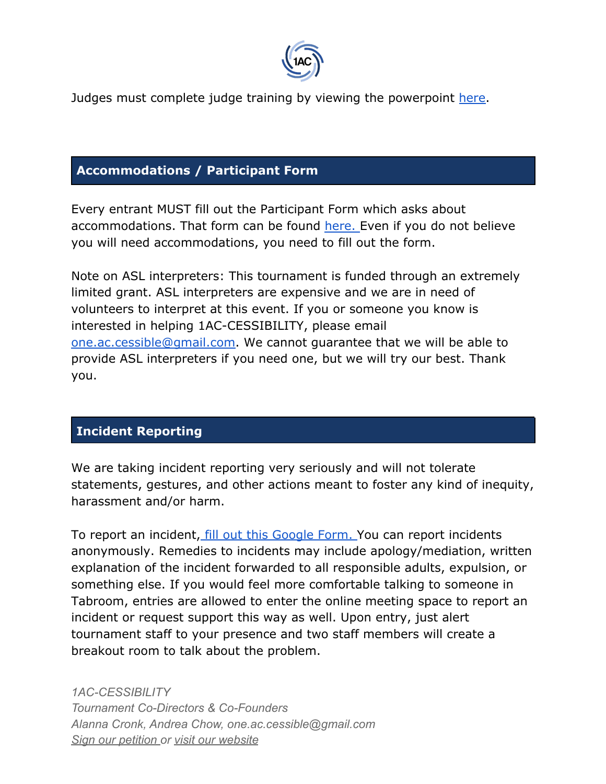

Judges must complete judge training by viewing the powerpoint [here.](https://docs.google.com/presentation/d/1BceVDqaZVRaIbHeKgxgAMODAcAdhDsA-lM3acBOlu6I/edit?usp=sharing)

#### **Accommodations / Participant Form**

Every entrant MUST fill out the Participant Form which asks about accommodations. That form can be found [here.](https://docs.google.com/forms/d/e/1FAIpQLSfipFVQ_udHXFJ5rRhgWeqgtxnc4fRDMP26i9nnZ03KnBc0-A/viewform?usp=sf_link) Even if you do not believe you will need accommodations, you need to fill out the form.

Note on ASL interpreters: This tournament is funded through an extremely limited grant. ASL interpreters are expensive and we are in need of volunteers to interpret at this event. If you or someone you know is interested in helping 1AC-CESSIBILITY, please email [one.ac.cessible@gmail.com.](mailto:one.ac.cessible@gmail.com) We cannot guarantee that we will be able to provide ASL interpreters if you need one, but we will try our best. Thank you.

### **Incident Reporting**

We are taking incident reporting very seriously and will not tolerate statements, gestures, and other actions meant to foster any kind of inequity, harassment and/or harm.

To report an incident, [fill out this Google Form.](https://forms.gle/SB9XkdXE7DrYZe6t9) You can report incidents anonymously. Remedies to incidents may include apology/mediation, written explanation of the incident forwarded to all responsible adults, expulsion, or something else. If you would feel more comfortable talking to someone in Tabroom, entries are allowed to enter the online meeting space to report an incident or request support this way as well. Upon entry, just alert tournament staff to your presence and two staff members will create a breakout room to talk about the problem.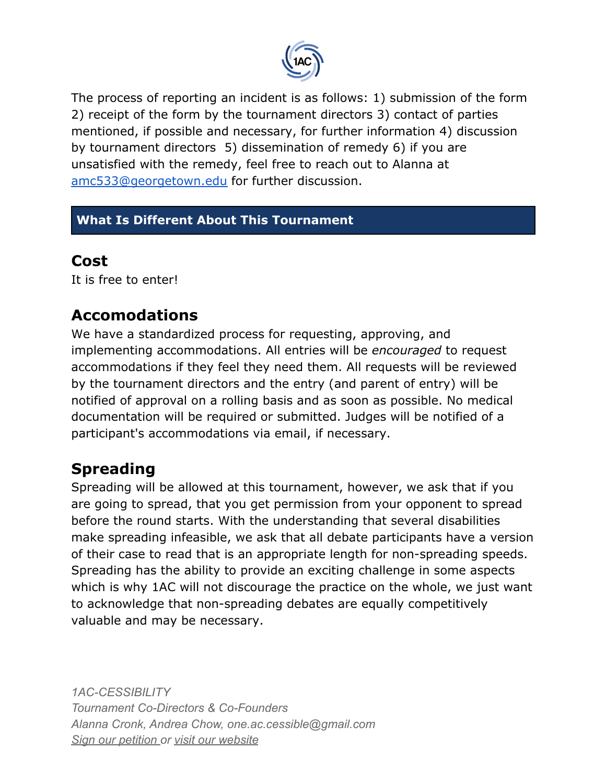

The process of reporting an incident is as follows: 1) submission of the form 2) receipt of the form by the tournament directors 3) contact of parties mentioned, if possible and necessary, for further information 4) discussion by tournament directors 5) dissemination of remedy 6) if you are unsatisfied with the remedy, feel free to reach out to Alanna at [amc533@georgetown.edu](mailto:amc533@georgetown.edu) for further discussion.

### **What Is Different About This Tournament**

## **Cost**

It is free to enter!

# **Accomodations**

We have a standardized process for requesting, approving, and implementing accommodations. All entries will be *encouraged* to request accommodations if they feel they need them. All requests will be reviewed by the tournament directors and the entry (and parent of entry) will be notified of approval on a rolling basis and as soon as possible. No medical documentation will be required or submitted. Judges will be notified of a participant's accommodations via email, if necessary.

# **Spreading**

Spreading will be allowed at this tournament, however, we ask that if you are going to spread, that you get permission from your opponent to spread before the round starts. With the understanding that several disabilities make spreading infeasible, we ask that all debate participants have a version of their case to read that is an appropriate length for non-spreading speeds. Spreading has the ability to provide an exciting challenge in some aspects which is why 1AC will not discourage the practice on the whole, we just want to acknowledge that non-spreading debates are equally competitively valuable and may be necessary.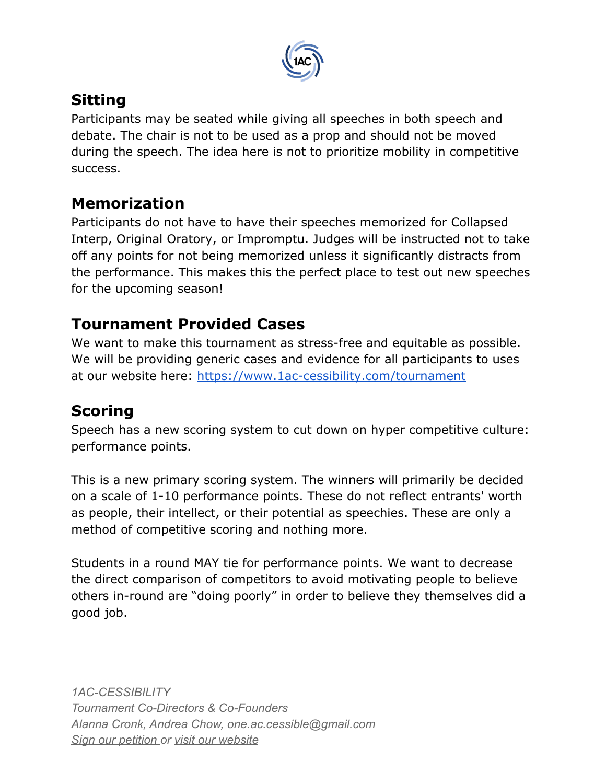

# **Sitting**

Participants may be seated while giving all speeches in both speech and debate. The chair is not to be used as a prop and should not be moved during the speech. The idea here is not to prioritize mobility in competitive success.

# **Memorization**

Participants do not have to have their speeches memorized for Collapsed Interp, Original Oratory, or Impromptu. Judges will be instructed not to take off any points for not being memorized unless it significantly distracts from the performance. This makes this the perfect place to test out new speeches for the upcoming season!

# **Tournament Provided Cases**

We want to make this tournament as stress-free and equitable as possible. We will be providing generic cases and evidence for all participants to uses at our website here: <https://www.1ac-cessibility.com/tournament>

# **Scoring**

Speech has a new scoring system to cut down on hyper competitive culture: performance points.

This is a new primary scoring system. The winners will primarily be decided on a scale of 1-10 performance points. These do not reflect entrants' worth as people, their intellect, or their potential as speechies. These are only a method of competitive scoring and nothing more.

Students in a round MAY tie for performance points. We want to decrease the direct comparison of competitors to avoid motivating people to believe others in-round are "doing poorly" in order to believe they themselves did a good job.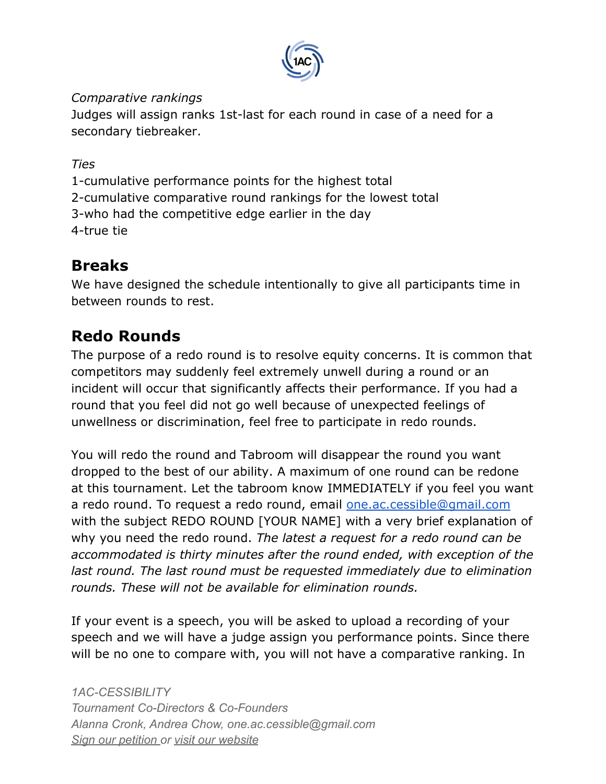

#### *Comparative rankings*

Judges will assign ranks 1st-last for each round in case of a need for a secondary tiebreaker.

*Ties*

1-cumulative performance points for the highest total 2-cumulative comparative round rankings for the lowest total 3-who had the competitive edge earlier in the day 4-true tie

# **Breaks**

We have designed the schedule intentionally to give all participants time in between rounds to rest.

# **Redo Rounds**

The purpose of a redo round is to resolve equity concerns. It is common that competitors may suddenly feel extremely unwell during a round or an incident will occur that significantly affects their performance. If you had a round that you feel did not go well because of unexpected feelings of unwellness or discrimination, feel free to participate in redo rounds.

You will redo the round and Tabroom will disappear the round you want dropped to the best of our ability. A maximum of one round can be redone at this tournament. Let the tabroom know IMMEDIATELY if you feel you want a redo round. To request a redo round, email **[one.ac.cessible@gmail.com](mailto:one.ac.cessible@gmail.com)** with the subject REDO ROUND [YOUR NAME] with a very brief explanation of why you need the redo round. *The latest a request for a redo round can be accommodated is thirty minutes after the round ended, with exception of the last round. The last round must be requested immediately due to elimination rounds. These will not be available for elimination rounds.*

If your event is a speech, you will be asked to upload a recording of your speech and we will have a judge assign you performance points. Since there will be no one to compare with, you will not have a comparative ranking. In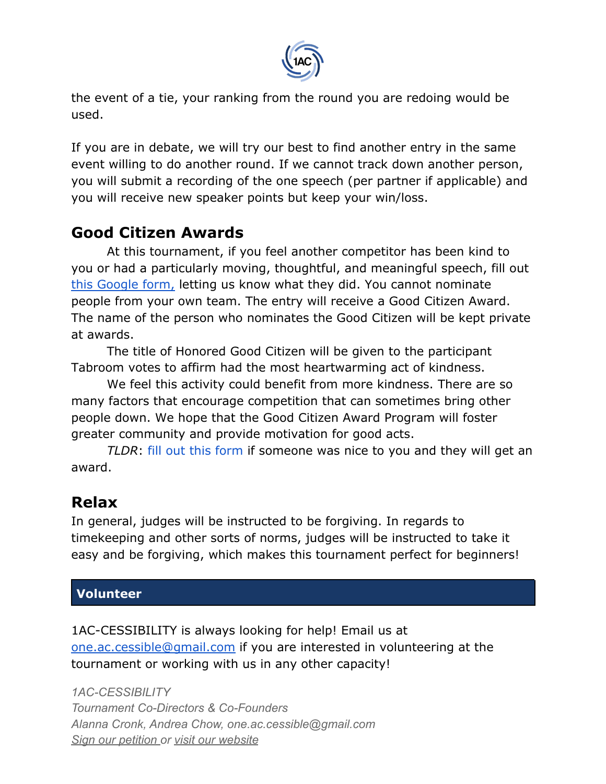

the event of a tie, your ranking from the round you are redoing would be used.

If you are in debate, we will try our best to find another entry in the same event willing to do another round. If we cannot track down another person, you will submit a recording of the one speech (per partner if applicable) and you will receive new speaker points but keep your win/loss.

## **Good Citizen Awards**

At this tournament, if you feel another competitor has been kind to you or had a particularly moving, thoughtful, and meaningful speech, fill out [this Google form,](https://forms.gle/tWJVaxA9zbZTVA2Y7) letting us know what they did. You cannot nominate people from your own team. The entry will receive a Good Citizen Award. The name of the person who nominates the Good Citizen will be kept private at awards.

The title of Honored Good Citizen will be given to the participant Tabroom votes to affirm had the most heartwarming act of kindness.

We feel this activity could benefit from more kindness. There are so many factors that encourage competition that can sometimes bring other people down. We hope that the Good Citizen Award Program will foster greater community and provide motivation for good acts.

*TLDR*: [fill out this form](https://docs.google.com/forms/d/e/1FAIpQLSenbMgok9mMEhxoPQt0Oeuw0vz6Z896EYJFt3GB4ubTUDU4Zg/viewform) if someone was nice to you and they will get an award.

# **Relax**

In general, judges will be instructed to be forgiving. In regards to timekeeping and other sorts of norms, judges will be instructed to take it easy and be forgiving, which makes this tournament perfect for beginners!

### **Volunteer**

1AC-CESSIBILITY is always looking for help! Email us at [one.ac.cessible@gmail.com](mailto:one.ac.cessible@gmail.com) if you are interested in volunteering at the tournament or working with us in any other capacity!